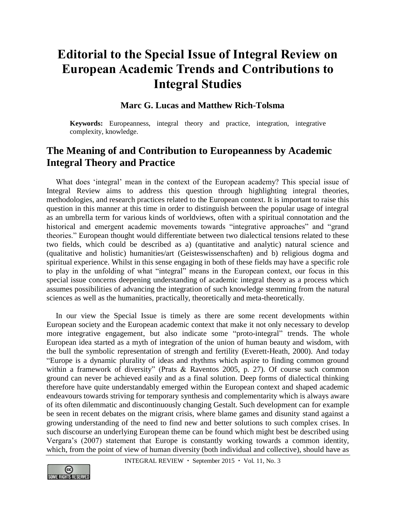# **Editorial to the Special Issue of Integral Review on European Academic Trends and Contributions to Integral Studies**

### **Marc G. Lucas and Matthew Rich-Tolsma**

**Keywords:** Europeanness, integral theory and practice, integration, integrative complexity, knowledge.

## **The Meaning of and Contribution to Europeanness by Academic Integral Theory and Practice**

What does 'integral' mean in the context of the European academy? This special issue of Integral Review aims to address this question through highlighting integral theories, methodologies, and research practices related to the European context. It is important to raise this question in this manner at this time in order to distinguish between the popular usage of integral as an umbrella term for various kinds of worldviews, often with a spiritual connotation and the historical and emergent academic movements towards "integrative approaches" and "grand theories." European thought would differentiate between two dialectical tensions related to these two fields, which could be described as a) (quantitative and analytic) natural science and (qualitative and holistic) humanities/art (Geisteswissenschaften) and b) religious dogma and spiritual experience. Whilst in this sense engaging in both of these fields may have a specific role to play in the unfolding of what "integral" means in the European context, our focus in this special issue concerns deepening understanding of academic integral theory as a process which assumes possibilities of advancing the integration of such knowledge stemming from the natural sciences as well as the humanities, practically, theoretically and meta-theoretically.

In our view the Special Issue is timely as there are some recent developments within European society and the European academic context that make it not only necessary to develop more integrative engagement, but also indicate some "proto-integral" trends. The whole European idea started as a myth of integration of the union of human beauty and wisdom, with the bull the symbolic representation of strength and fertility (Everett-Heath, 2000). And today "Europe is a dynamic plurality of ideas and rhythms which aspire to finding common ground within a framework of diversity" (Prats & Raventos 2005, p. 27). Of course such common ground can never be achieved easily and as a final solution. Deep forms of dialectical thinking therefore have quite understandably emerged within the European context and shaped academic endeavours towards striving for temporary synthesis and complementarity which is always aware of its often dilemmatic and discontinuously changing Gestalt. Such development can for example be seen in recent debates on the migrant crisis, where blame games and disunity stand against a growing understanding of the need to find new and better solutions to such complex crises. In such discourse an underlying European theme can be found which might best be described using Vergara's (2007) statement that Europe is constantly working towards a common identity, which, from the point of view of human diversity (both individual and collective), should have as

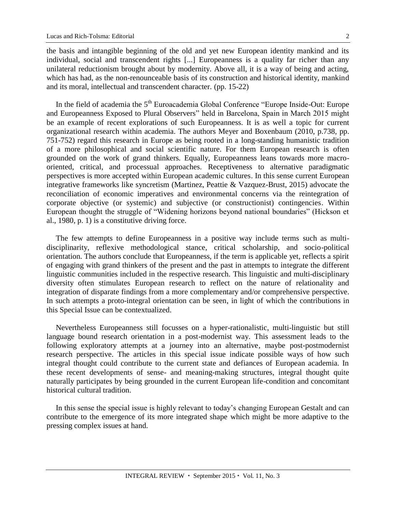the basis and intangible beginning of the old and yet new European identity mankind and its individual, social and transcendent rights [...] Europeanness is a quality far richer than any unilateral reductionism brought about by modernity. Above all, it is a way of being and acting, which has had, as the non-renounceable basis of its construction and historical identity, mankind and its moral, intellectual and transcendent character. (pp. 15-22)

In the field of academia the 5<sup>th</sup> Euroacademia Global Conference "Europe Inside-Out: Europe and Europeanness Exposed to Plural Observers" held in Barcelona, Spain in March 2015 might be an example of recent explorations of such Europeanness. It is as well a topic for current organizational research within academia. The authors Meyer and Boxenbaum (2010, p.738, pp. 751-752) regard this research in Europe as being rooted in a long-standing humanistic tradition of a more philosophical and social scientific nature. For them European research is often grounded on the work of grand thinkers. Equally, Europeanness leans towards more macrooriented, critical, and processual approaches. Receptiveness to alternative paradigmatic perspectives is more accepted within European academic cultures. In this sense current European integrative frameworks like syncretism (Martinez, Peattie & Vazquez-Brust, 2015) advocate the reconciliation of economic imperatives and environmental concerns via the reintegration of corporate objective (or systemic) and subjective (or constructionist) contingencies. Within European thought the struggle of "Widening horizons beyond national boundaries" (Hickson et al., 1980, p. 1) is a constitutive driving force.

The few attempts to define Europeanness in a positive way include terms such as multidisciplinarity, reflexive methodological stance, critical scholarship, and socio-political orientation. The authors conclude that Europeanness, if the term is applicable yet, reflects a spirit of engaging with grand thinkers of the present and the past in attempts to integrate the different linguistic communities included in the respective research. This linguistic and multi-disciplinary diversity often stimulates European research to reflect on the nature of relationality and integration of disparate findings from a more complementary and/or comprehensive perspective. In such attempts a proto-integral orientation can be seen, in light of which the contributions in this Special Issue can be contextualized.

Nevertheless Europeanness still focusses on a hyper-rationalistic, multi-linguistic but still language bound research orientation in a post-modernist way. This assessment leads to the following exploratory attempts at a journey into an alternative, maybe post-postmodernist research perspective. The articles in this special issue indicate possible ways of how such integral thought could contribute to the current state and defiances of European academia. In these recent developments of sense- and meaning-making structures, integral thought quite naturally participates by being grounded in the current European life-condition and concomitant historical cultural tradition.

In this sense the special issue is highly relevant to today's changing European Gestalt and can contribute to the emergence of its more integrated shape which might be more adaptive to the pressing complex issues at hand.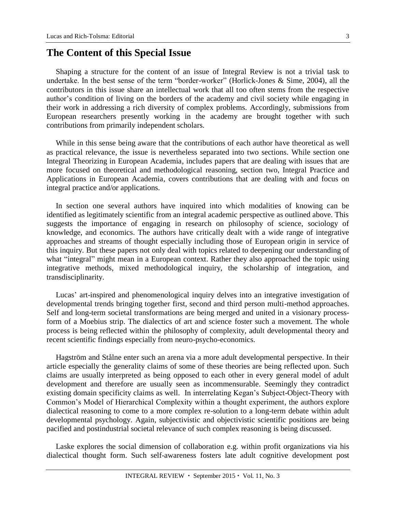### **The Content of this Special Issue**

Shaping a structure for the content of an issue of Integral Review is not a trivial task to undertake. In the best sense of the term "border-worker" (Horlick-Jones & Sime, 2004), all the contributors in this issue share an intellectual work that all too often stems from the respective author's condition of living on the borders of the academy and civil society while engaging in their work in addressing a rich diversity of complex problems. Accordingly, submissions from European researchers presently working in the academy are brought together with such contributions from primarily independent scholars.

While in this sense being aware that the contributions of each author have theoretical as well as practical relevance, the issue is nevertheless separated into two sections. While section one Integral Theorizing in European Academia, includes papers that are dealing with issues that are more focused on theoretical and methodological reasoning, section two, Integral Practice and Applications in European Academia, covers contributions that are dealing with and focus on integral practice and/or applications.

In section one several authors have inquired into which modalities of knowing can be identified as legitimately scientific from an integral academic perspective as outlined above. This suggests the importance of engaging in research on philosophy of science, sociology of knowledge, and economics. The authors have critically dealt with a wide range of integrative approaches and streams of thought especially including those of European origin in service of this inquiry. But these papers not only deal with topics related to deepening our understanding of what "integral" might mean in a European context. Rather they also approached the topic using integrative methods, mixed methodological inquiry, the scholarship of integration, and transdisciplinarity.

Lucas' art-inspired and phenomenological inquiry delves into an integrative investigation of developmental trends bringing together first, second and third person multi-method approaches. Self and long-term societal transformations are being merged and united in a visionary processform of a Moebius strip. The dialectics of art and science foster such a movement. The whole process is being reflected within the philosophy of complexity, adult developmental theory and recent scientific findings especially from neuro-psycho-economics.

Hagström and Stålne enter such an arena via a more adult developmental perspective. In their article especially the generality claims of some of these theories are being reflected upon. Such claims are usually interpreted as being opposed to each other in every general model of adult development and therefore are usually seen as incommensurable. Seemingly they contradict existing domain specificity claims as well. In interrelating Kegan's Subject-Object-Theory with Common's Model of Hierarchical Complexity within a thought experiment, the authors explore dialectical reasoning to come to a more complex re-solution to a long-term debate within adult developmental psychology. Again, subjectivistic and objectivistic scientific positions are being pacified and postindustrial societal relevance of such complex reasoning is being discussed.

Laske explores the social dimension of collaboration e.g. within profit organizations via his dialectical thought form. Such self-awareness fosters late adult cognitive development post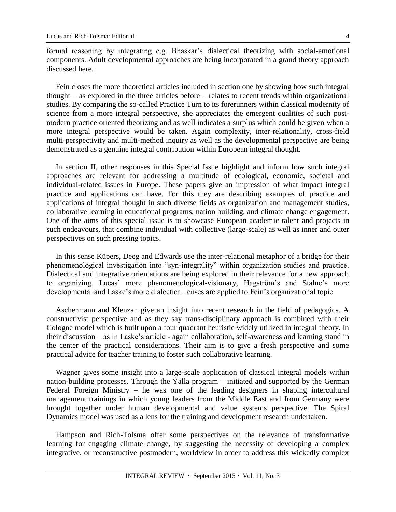formal reasoning by integrating e.g. Bhaskar's dialectical theorizing with social-emotional components. Adult developmental approaches are being incorporated in a grand theory approach discussed here.

Fein closes the more theoretical articles included in section one by showing how such integral thought – as explored in the three articles before – relates to recent trends within organizational studies. By comparing the so-called Practice Turn to its forerunners within classical modernity of science from a more integral perspective, she appreciates the emergent qualities of such postmodern practice oriented theorizing and as well indicates a surplus which could be given when a more integral perspective would be taken. Again complexity, inter-relationality, cross-field multi-perspectivity and multi-method inquiry as well as the developmental perspective are being demonstrated as a genuine integral contribution within European integral thought.

In section II, other responses in this Special Issue highlight and inform how such integral approaches are relevant for addressing a multitude of ecological, economic, societal and individual-related issues in Europe. These papers give an impression of what impact integral practice and applications can have. For this they are describing examples of practice and applications of integral thought in such diverse fields as organization and management studies, collaborative learning in educational programs, nation building, and climate change engagement. One of the aims of this special issue is to showcase European academic talent and projects in such endeavours, that combine individual with collective (large-scale) as well as inner and outer perspectives on such pressing topics.

In this sense Küpers, Deeg and Edwards use the inter-relational metaphor of a bridge for their phenomenological investigation into "syn-integrality" within organization studies and practice. Dialectical and integrative orientations are being explored in their relevance for a new approach to organizing. Lucas' more phenomenological-visionary, Hagström's and Stalne's more developmental and Laske's more dialectical lenses are applied to Fein's organizational topic.

Aschermann and Klenzan give an insight into recent research in the field of pedagogics. A constructivist perspective and as they say trans-disciplinary approach is combined with their Cologne model which is built upon a four quadrant heuristic widely utilized in integral theory. In their discussion – as in Laske's article - again collaboration, self-awareness and learning stand in the center of the practical considerations. Their aim is to give a fresh perspective and some practical advice for teacher training to foster such collaborative learning.

Wagner gives some insight into a large-scale application of classical integral models within nation-building processes. Through the Yalla program – initiated and supported by the German Federal Foreign Ministry – he was one of the leading designers in shaping intercultural management trainings in which young leaders from the Middle East and from Germany were brought together under human developmental and value systems perspective. The Spiral Dynamics model was used as a lens for the training and development research undertaken.

Hampson and Rich-Tolsma offer some perspectives on the relevance of transformative learning for engaging climate change, by suggesting the necessity of developing a complex integrative, or reconstructive postmodern, worldview in order to address this wickedly complex